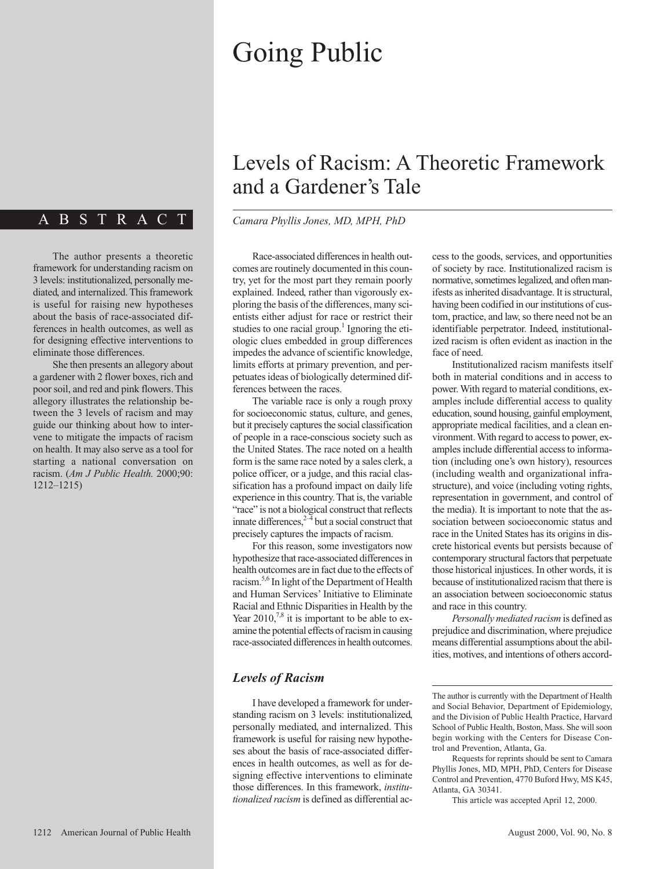## ABSTRACT *Camara Phyllis Jones, MD, MPH, PhD*

The author presents a theoretic framework for understanding racism on 3 levels: institutionalized, personally mediated, and internalized. This framework is useful for raising new hypotheses about the basis of race-associated differences in health outcomes, as well as for designing effective interventions to eliminate those differences.

She then presents an allegory about a gardener with 2 flower boxes, rich and poor soil, and red and pink flowers. This allegory illustrates the relationship between the 3 levels of racism and may guide our thinking about how to intervene to mitigate the impacts of racism on health. It may also serve as a tool for starting a national conversation on racism. (*Am J Public Health.* 2000;90: 1212–1215)

## Levels of Racism: A Theoretic Framework and a Gardener's Tale

Going Public

Race-associated differences in health outcomes are routinely documented in this country, yet for the most part they remain poorly explained. Indeed, rather than vigorously exploring the basis of the differences, many scientists either adjust for race or restrict their studies to one racial group.<sup>1</sup> Ignoring the etiologic clues embedded in group differences impedes the advance of scientific knowledge, limits efforts at primary prevention, and perpetuates ideas of biologically determined differences between the races.

The variable race is only a rough proxy for socioeconomic status, culture, and genes, but it precisely captures the social classification of people in a race-conscious society such as the United States. The race noted on a health form is the same race noted by a sales clerk, a police officer, or a judge, and this racial classification has a profound impact on daily life experience in this country. That is, the variable "race" is not a biological construct that reflects innate differences, $2\frac{2}{4}$  but a social construct that precisely captures the impacts of racism.

For this reason, some investigators now hypothesize that race-associated differences in health outcomes are in fact due to the effects of racism.5,6 In light of the Department of Health and Human Services' Initiative to Eliminate Racial and Ethnic Disparities in Health by the Year 2010,<sup>7,8</sup> it is important to be able to examine the potential effects of racism in causing race-associated differences in health outcomes.

## *Levels of Racism*

I have developed a framework for understanding racism on 3 levels: institutionalized, personally mediated, and internalized. This framework is useful for raising new hypotheses about the basis of race-associated differences in health outcomes, as well as for designing effective interventions to eliminate those differences. In this framework, *institutionalized racism* is defined as differential access to the goods, services, and opportunities of society by race. Institutionalized racism is normative, sometimes legalized, and often manifests as inherited disadvantage. It is structural, having been codified in our institutions of custom, practice, and law, so there need not be an identifiable perpetrator. Indeed, institutionalized racism is often evident as inaction in the face of need.

Institutionalized racism manifests itself both in material conditions and in access to power. With regard to material conditions, examples include differential access to quality education, sound housing, gainful employment, appropriate medical facilities, and a clean environment. With regard to access to power, examples include differential access to information (including one's own history), resources (including wealth and organizational infrastructure), and voice (including voting rights, representation in government, and control of the media). It is important to note that the association between socioeconomic status and race in the United States has its origins in discrete historical events but persists because of contemporary structural factors that perpetuate those historical injustices. In other words, it is because of institutionalized racism that there is an association between socioeconomic status and race in this country.

*Personally mediated racism* is defined as prejudice and discrimination, where prejudice means differential assumptions about the abilities, motives, and intentions of others accord-

This article was accepted April 12, 2000.

The author is currently with the Department of Health and Social Behavior, Department of Epidemiology, and the Division of Public Health Practice, Harvard School of Public Health, Boston, Mass. She will soon begin working with the Centers for Disease Control and Prevention, Atlanta, Ga.

Requests for reprints should be sent to Camara Phyllis Jones, MD, MPH, PhD, Centers for Disease Control and Prevention, 4770 Buford Hwy, MS K45, Atlanta, GA 30341.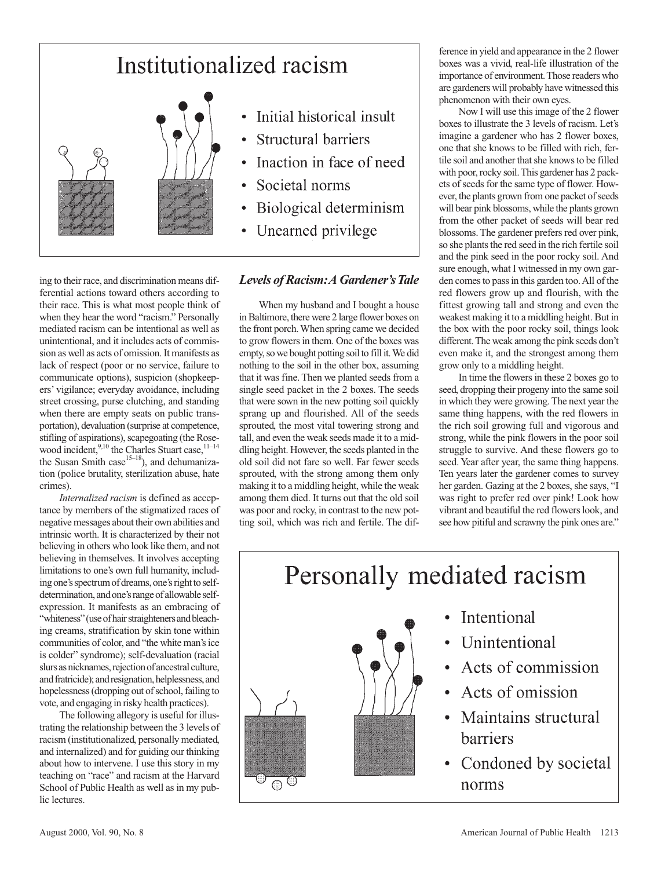

#### ing to their race, and discrimination means differential actions toward others according to their race. This is what most people think of when they hear the word "racism." Personally mediated racism can be intentional as well as unintentional, and it includes acts of commission as well as acts of omission. It manifests as lack of respect (poor or no service, failure to communicate options), suspicion (shopkeepers' vigilance; everyday avoidance, including street crossing, purse clutching, and standing when there are empty seats on public transportation), devaluation (surprise at competence, stifling of aspirations), scapegoating (the Rosewood incident,<sup>9,10</sup> the Charles Stuart case,<sup>11–14</sup> the Susan Smith case<sup>15–18</sup>), and dehumanization (police brutality, sterilization abuse, hate crimes).

*Internalized racism* is defined as acceptance by members of the stigmatized races of negative messages about their own abilities and intrinsic worth. It is characterized by their not believing in others who look like them, and not believing in themselves. It involves accepting limitations to one's own full humanity, including one's spectrum of dreams, one's right to selfdetermination, and one's range of allowable selfexpression. It manifests as an embracing of "whiteness" (use of hair straighteners and bleaching creams, stratification by skin tone within communities of color, and "the white man's ice is colder" syndrome); self-devaluation (racial slurs as nicknames, rejection of ancestral culture, and fratricide); and resignation, helplessness, and hopelessness (dropping out of school, failing to vote, and engaging in risky health practices).

The following allegory is useful for illustrating the relationship between the 3 levels of racism (institutionalized, personally mediated, and internalized) and for guiding our thinking about how to intervene. I use this story in my teaching on "race" and racism at the Harvard School of Public Health as well as in my public lectures.

- Inaction in face of need
- **Biological determinism**

## *Levels of Racism:A Gardener'sTale*

When my husband and I bought a house in Baltimore, there were 2 large flower boxes on the front porch. When spring came we decided to grow flowers in them. One of the boxes was empty, so we bought potting soil to fill it. We did nothing to the soil in the other box, assuming that it was fine. Then we planted seeds from a single seed packet in the 2 boxes. The seeds that were sown in the new potting soil quickly sprang up and flourished. All of the seeds sprouted, the most vital towering strong and tall, and even the weak seeds made it to a middling height. However, the seeds planted in the old soil did not fare so well. Far fewer seeds sprouted, with the strong among them only making it to a middling height, while the weak among them died. It turns out that the old soil was poor and rocky, in contrast to the new potting soil, which was rich and fertile. The difference in yield and appearance in the 2 flower boxes was a vivid, real-life illustration of the importance of environment.Those readers who are gardeners will probably have witnessed this phenomenon with their own eyes.

Now I will use this image of the 2 flower boxes to illustrate the 3 levels of racism. Let's imagine a gardener who has 2 flower boxes, one that she knows to be filled with rich, fertile soil and another that she knows to be filled with poor, rocky soil. This gardener has 2 packets of seeds for the same type of flower. However, the plants grown from one packet of seeds will bear pink blossoms, while the plants grown from the other packet of seeds will bear red blossoms. The gardener prefers red over pink, so she plants the red seed in the rich fertile soil and the pink seed in the poor rocky soil. And sure enough, what I witnessed in my own garden comes to pass in this garden too. All of the red flowers grow up and flourish, with the fittest growing tall and strong and even the weakest making it to a middling height. But in the box with the poor rocky soil, things look different. The weak among the pink seeds don't even make it, and the strongest among them grow only to a middling height.

In time the flowers in these 2 boxes go to seed, dropping their progeny into the same soil in which they were growing. The next year the same thing happens, with the red flowers in the rich soil growing full and vigorous and strong, while the pink flowers in the poor soil struggle to survive. And these flowers go to seed. Year after year, the same thing happens. Ten years later the gardener comes to survey her garden. Gazing at the 2 boxes, she says, "I was right to prefer red over pink! Look how vibrant and beautiful the red flowers look, and see how pitiful and scrawny the pink ones are."

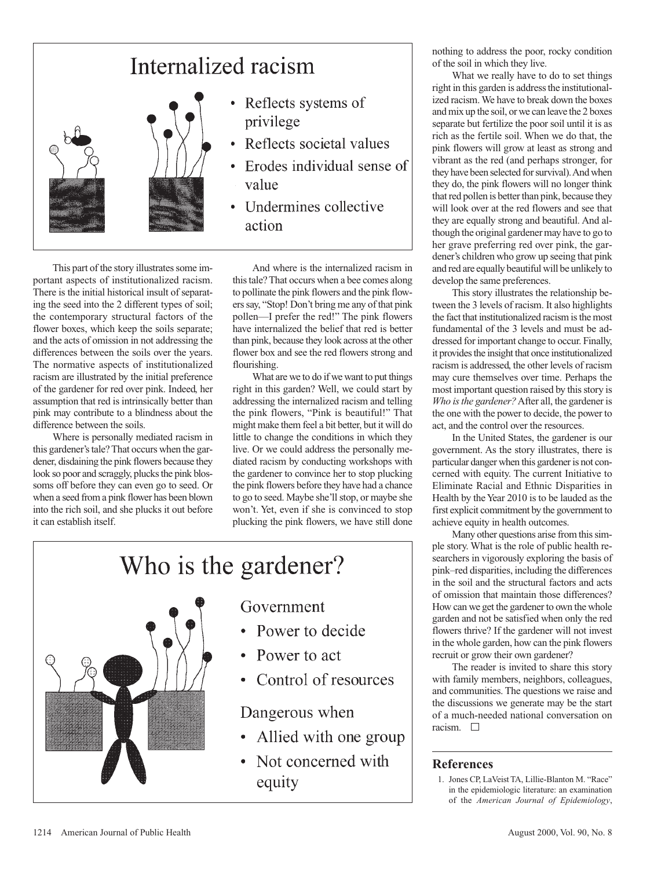# Internalized racism



- Reflects systems of privilege
- Reflects societal values
- Erodes individual sense of value
- Undermines collective action

This part of the story illustrates some important aspects of institutionalized racism. There is the initial historical insult of separating the seed into the 2 different types of soil; the contemporary structural factors of the flower boxes, which keep the soils separate; and the acts of omission in not addressing the differences between the soils over the years. The normative aspects of institutionalized racism are illustrated by the initial preference of the gardener for red over pink. Indeed, her assumption that red is intrinsically better than pink may contribute to a blindness about the difference between the soils.

Where is personally mediated racism in this gardener's tale? That occurs when the gardener, disdaining the pink flowers because they look so poor and scraggly, plucks the pink blossoms off before they can even go to seed. Or when a seed from a pink flower has been blown into the rich soil, and she plucks it out before it can establish itself.

And where is the internalized racism in this tale? That occurs when a bee comes along to pollinate the pink flowers and the pink flowers say, "Stop! Don't bring me any of that pink pollen—I prefer the red!" The pink flowers have internalized the belief that red is better than pink, because they look across at the other flower box and see the red flowers strong and flourishing.

What are we to do if we want to put things right in this garden? Well, we could start by addressing the internalized racism and telling the pink flowers, "Pink is beautiful!" That might make them feel a bit better, but it will do little to change the conditions in which they live. Or we could address the personally mediated racism by conducting workshops with the gardener to convince her to stop plucking the pink flowers before they have had a chance to go to seed. Maybe she'll stop, or maybe she won't. Yet, even if she is convinced to stop plucking the pink flowers, we have still done



nothing to address the poor, rocky condition of the soil in which they live.

What we really have to do to set things right in this garden is address the institutionalized racism. We have to break down the boxes and mix up the soil, or we can leave the 2 boxes separate but fertilize the poor soil until it is as rich as the fertile soil. When we do that, the pink flowers will grow at least as strong and vibrant as the red (and perhaps stronger, for they have been selected for survival).And when they do, the pink flowers will no longer think that red pollen is better than pink, because they will look over at the red flowers and see that they are equally strong and beautiful. And although the original gardener may have to go to her grave preferring red over pink, the gardener's children who grow up seeing that pink and red are equally beautiful will be unlikely to develop the same preferences.

This story illustrates the relationship between the 3 levels of racism. It also highlights the fact that institutionalized racism is the most fundamental of the 3 levels and must be addressed for important change to occur. Finally, it provides the insight that once institutionalized racism is addressed, the other levels of racism may cure themselves over time. Perhaps the most important question raised by this story is *Who is the gardener?*After all, the gardener is the one with the power to decide, the power to act, and the control over the resources.

In the United States, the gardener is our government. As the story illustrates, there is particular danger when this gardener is not concerned with equity. The current Initiative to Eliminate Racial and Ethnic Disparities in Health by the Year 2010 is to be lauded as the first explicit commitment by the government to achieve equity in health outcomes.

Many other questions arise from this simple story. What is the role of public health researchers in vigorously exploring the basis of pink–red disparities, including the differences in the soil and the structural factors and acts of omission that maintain those differences? How can we get the gardener to own the whole garden and not be satisfied when only the red flowers thrive? If the gardener will not invest in the whole garden, how can the pink flowers recruit or grow their own gardener?

The reader is invited to share this story with family members, neighbors, colleagues, and communities. The questions we raise and the discussions we generate may be the start of a much-needed national conversation on racism.  $\Box$ 

## **References**

<sup>1.</sup> Jones CP, LaVeist TA, Lillie-Blanton M. "Race" in the epidemiologic literature: an examination of the *American Journal of Epidemiology*,